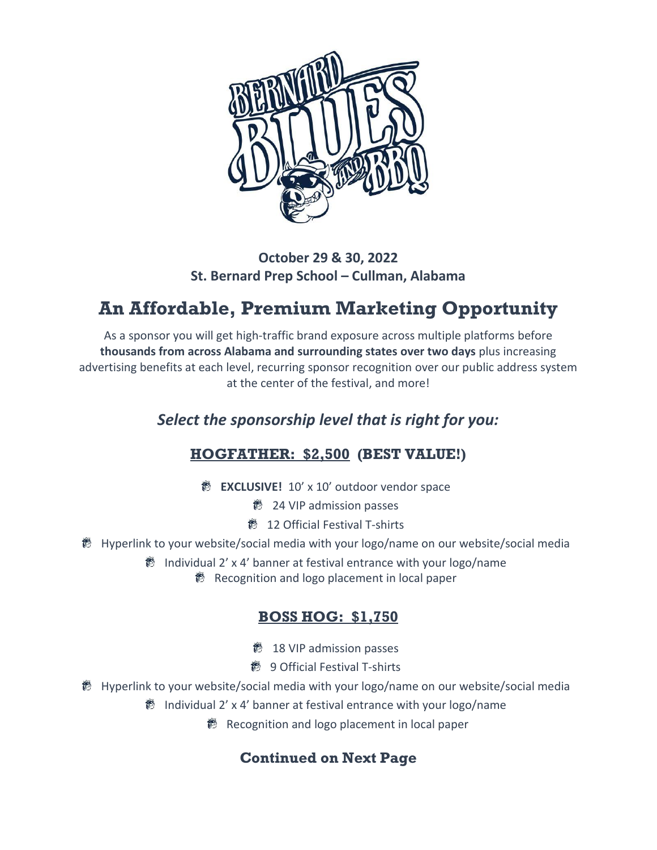

#### **October 29 & 30, 2022 St. Bernard Prep School – Cullman, Alabama**

# **An Affordable, Premium Marketing Opportunity**

As a sponsor you will get high-traffic brand exposure across multiple platforms before **thousands from across Alabama and surrounding states over two days** plus increasing advertising benefits at each level, recurring sponsor recognition over our public address system at the center of the festival, and more!

# *Select the sponsorship level that is right for you:*

# **HOGFATHER: \$2,500 (BEST VALUE!)**

**EXCLUSIVE!** 10' x 10' outdoor vendor space

**鬱 24 VIP admission passes** 

12 Official Festival T-shirts

● Hyperlink to your website/social media with your logo/name on our website/social media

● Individual 2' x 4' banner at festival entrance with your logo/name

**<sup>18</sup>** Recognition and logo placement in local paper

### **BOSS HOG: \$1,750**

18 VIP admission passes

- 9 Official Festival T-shirts
- **®** Hyperlink to your website/social media with your logo/name on our website/social media

Individual 2' x 4' banner at festival entrance with your logo/name

<sup>18</sup> Recognition and logo placement in local paper

# **Continued on Next Page**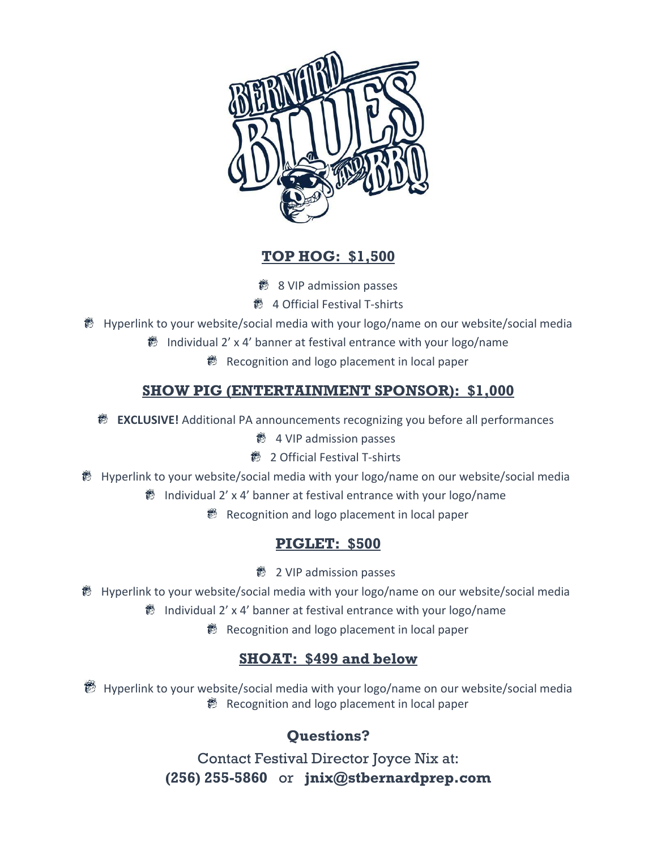

### **TOP HOG: \$1,500**

- 8 VIP admission passes
- 4 Official Festival T-shirts
- **®** Hyperlink to your website/social media with your logo/name on our website/social media
	- $\%$  Individual 2' x 4' banner at festival entrance with your logo/name
		- **®** Recognition and logo placement in local paper

### **SHOW PIG (ENTERTAINMENT SPONSOR): \$1,000**

- **<sup>8</sup> EXCLUSIVE!** Additional PA announcements recognizing you before all performances
	- $\bigotimes$  4 VIP admission passes
	- 2 Official Festival T-shirts
- Hyperlink to your website/social media with your logo/name on our website/social media
	- $\frac{3}{2}$  Individual 2' x 4' banner at festival entrance with your logo/name
		- **B** Recognition and logo placement in local paper

### **PIGLET: \$500**

- **鬱 2 VIP admission passes**
- Hyperlink to your website/social media with your logo/name on our website/social media
	- Individual 2' x 4' banner at festival entrance with your logo/name
		- **B** Recognition and logo placement in local paper

# **SHOAT: \$499 and below**

<sup>36</sup> Hyperlink to your website/social media with your logo/name on our website/social media ● Recognition and logo placement in local paper

# **Questions?**

Contact Festival Director Joyce Nix at: **(256) 255-5860** or **jnix@stbernardprep.com**